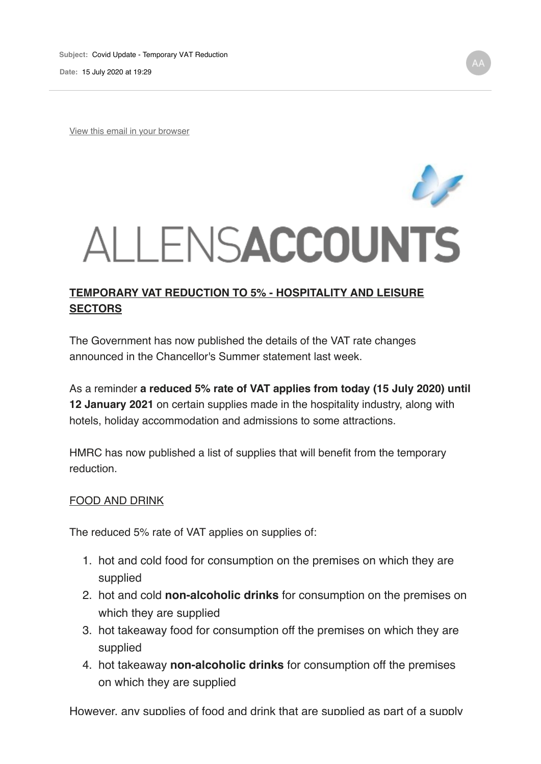View this email in your browser

# ALLENSACCOUNTS

# **TEMPORARY VAT REDUCTION TO 5% - HOSPITALITY AND LEISURE SECTORS**

The Government has now published the details of the VAT rate changes announced in the Chancellor's Summer statement last week.

As a reminder **a reduced 5% rate of VAT applies from today (15 July 2020) until 12 January 2021** on certain supplies made in the hospitality industry, along with hotels, holiday accommodation and admissions to some attractions.

HMRC has now published a list of supplies that will benefit from the temporary reduction.

### FOOD AND DRINK

The reduced 5% rate of VAT applies on supplies of:

- 1. hot and cold food for consumption on the premises on which they are supplied
- 2. hot and cold **non-alcoholic drinks** for consumption on the premises on which they are supplied
- 3. hot takeaway food for consumption off the premises on which they are supplied
- 4. hot takeaway **non-alcoholic drinks** for consumption off the premises on which they are supplied

However, any supplies of food and drink that are supplied as part of a supply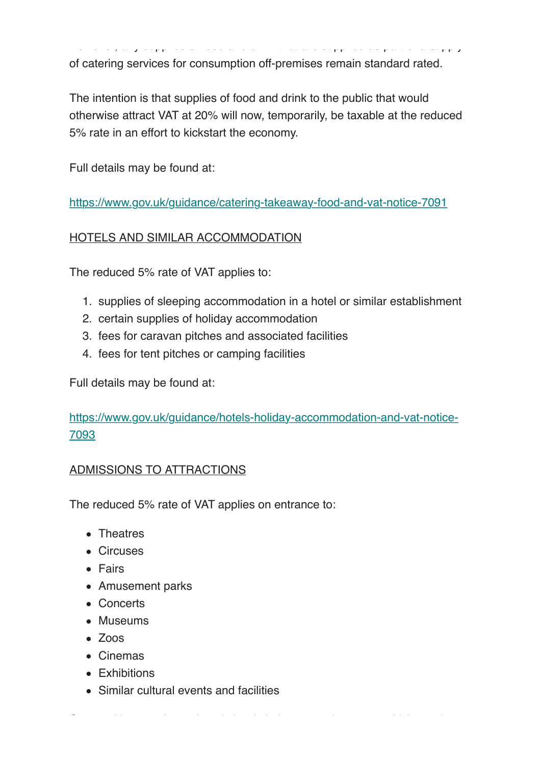However, any supplies of food and drink that are supplied as part of a supply of catering services for consumption off-premises remain standard rated.

The intention is that supplies of food and drink to the public that would otherwise attract VAT at 20% will now, temporarily, be taxable at the reduced 5% rate in an effort to kickstart the economy.

Full details may be found at:

https://www.gov.uk/guidance/catering-takeaway-food-and-vat-notice-7091

# HOTELS AND SIMILAR ACCOMMODATION

The reduced 5% rate of VAT applies to:

- 1. supplies of sleeping accommodation in a hotel or similar establishment
- 2. certain supplies of holiday accommodation
- 3. fees for caravan pitches and associated facilities
- 4. fees for tent pitches or camping facilities

Full details may be found at:

https://www.gov.uk/guidance/hotels-holiday-accommodation-and-vat-notice-7093

One notable exception to the rule is admission to sporting events which remain

# ADMISSIONS TO ATTRACTIONS

The reduced 5% rate of VAT applies on entrance to:

- Theatres
- Circuses
- Fairs
- Amusement parks
- Concerts
- Museums
- Zoos
- Cinemas
- Exhibitions
- Similar cultural events and facilities